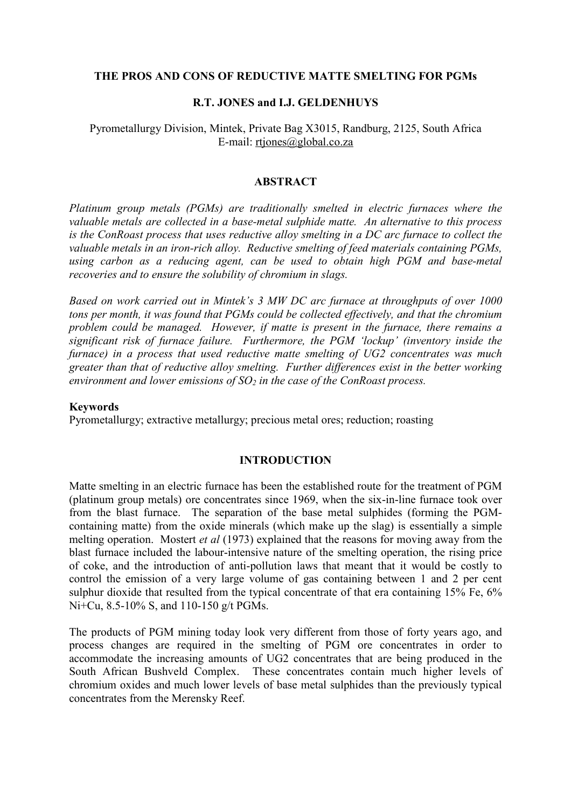## **THE PROS AND CONS OF REDUCTIVE MATTE SMELTING FOR PGMs**

### **R.T. JONES and I.J. GELDENHUYS**

Pyrometallurgy Division, Mintek, Private Bag X3015, Randburg, 2125, South Africa E-mail: [rtjones@global.co.za](mailto:rtjones@global.co.za)

#### **ABSTRACT**

*Platinum group metals (PGMs) are traditionally smelted in electric furnaces where the valuable metals are collected in a base-metal sulphide matte. An alternative to this process is the ConRoast process that uses reductive alloy smelting in a DC arc furnace to collect the valuable metals in an iron-rich alloy. Reductive smelting of feed materials containing PGMs, using carbon as a reducing agent, can be used to obtain high PGM and base-metal recoveries and to ensure the solubility of chromium in slags.* 

*Based on work carried out in Mintek's 3 MW DC arc furnace at throughputs of over 1000 tons per month, it was found that PGMs could be collected effectively, and that the chromium problem could be managed. However, if matte is present in the furnace, there remains a significant risk of furnace failure. Furthermore, the PGM 'lockup' (inventory inside the furnace) in a process that used reductive matte smelting of UG2 concentrates was much greater than that of reductive alloy smelting. Further differences exist in the better working environment and lower emissions of SO<sup>2</sup> in the case of the ConRoast process.* 

#### **Keywords**

Pyrometallurgy; extractive metallurgy; precious metal ores; reduction; roasting

### **INTRODUCTION**

Matte smelting in an electric furnace has been the established route for the treatment of PGM (platinum group metals) ore concentrates since 1969, when the six-in-line furnace took over from the blast furnace. The separation of the base metal sulphides (forming the PGMcontaining matte) from the oxide minerals (which make up the slag) is essentially a simple melting operation. Mostert *et al* (1973) explained that the reasons for moving away from the blast furnace included the labour-intensive nature of the smelting operation, the rising price of coke, and the introduction of anti-pollution laws that meant that it would be costly to control the emission of a very large volume of gas containing between 1 and 2 per cent sulphur dioxide that resulted from the typical concentrate of that era containing 15% Fe, 6% Ni+Cu, 8.5-10% S, and 110-150 g/t PGMs.

The products of PGM mining today look very different from those of forty years ago, and process changes are required in the smelting of PGM ore concentrates in order to accommodate the increasing amounts of UG2 concentrates that are being produced in the South African Bushveld Complex. These concentrates contain much higher levels of chromium oxides and much lower levels of base metal sulphides than the previously typical concentrates from the Merensky Reef.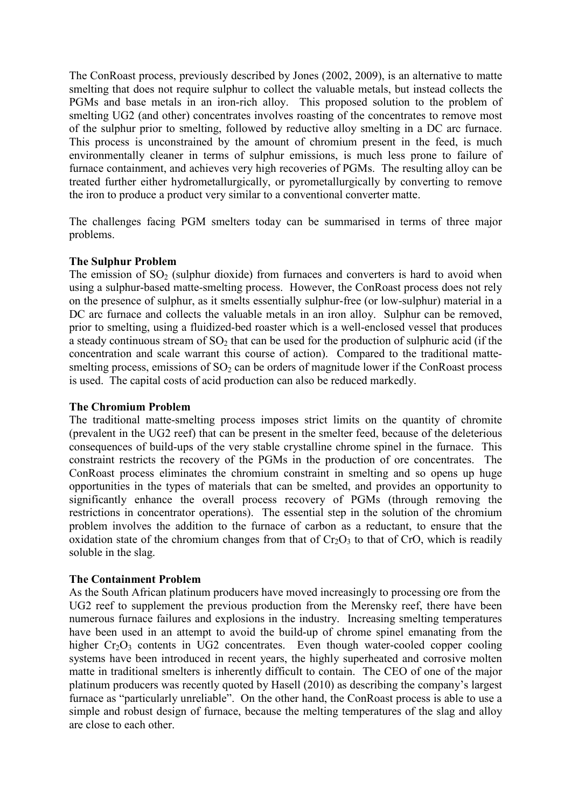The ConRoast process, previously described by Jones (2002, 2009), is an alternative to matte smelting that does not require sulphur to collect the valuable metals, but instead collects the PGMs and base metals in an iron-rich alloy. This proposed solution to the problem of smelting UG2 (and other) concentrates involves roasting of the concentrates to remove most of the sulphur prior to smelting, followed by reductive alloy smelting in a DC arc furnace. This process is unconstrained by the amount of chromium present in the feed, is much environmentally cleaner in terms of sulphur emissions, is much less prone to failure of furnace containment, and achieves very high recoveries of PGMs. The resulting alloy can be treated further either hydrometallurgically, or pyrometallurgically by converting to remove the iron to produce a product very similar to a conventional converter matte.

The challenges facing PGM smelters today can be summarised in terms of three major problems.

### **The Sulphur Problem**

The emission of  $SO<sub>2</sub>$  (sulphur dioxide) from furnaces and converters is hard to avoid when using a sulphur-based matte-smelting process. However, the ConRoast process does not rely on the presence of sulphur, as it smelts essentially sulphur-free (or low-sulphur) material in a DC arc furnace and collects the valuable metals in an iron alloy. Sulphur can be removed, prior to smelting, using a fluidized-bed roaster which is a well-enclosed vessel that produces a steady continuous stream of  $SO_2$  that can be used for the production of sulphuric acid (if the concentration and scale warrant this course of action). Compared to the traditional mattesmelting process, emissions of  $SO<sub>2</sub>$  can be orders of magnitude lower if the ConRoast process is used. The capital costs of acid production can also be reduced markedly.

#### **The Chromium Problem**

The traditional matte-smelting process imposes strict limits on the quantity of chromite (prevalent in the UG2 reef) that can be present in the smelter feed, because of the deleterious consequences of build-ups of the very stable crystalline chrome spinel in the furnace. This constraint restricts the recovery of the PGMs in the production of ore concentrates. The ConRoast process eliminates the chromium constraint in smelting and so opens up huge opportunities in the types of materials that can be smelted, and provides an opportunity to significantly enhance the overall process recovery of PGMs (through removing the restrictions in concentrator operations). The essential step in the solution of the chromium problem involves the addition to the furnace of carbon as a reductant, to ensure that the oxidation state of the chromium changes from that of  $Cr_2O_3$  to that of CrO, which is readily soluble in the slag.

### **The Containment Problem**

As the South African platinum producers have moved increasingly to processing ore from the UG2 reef to supplement the previous production from the Merensky reef, there have been numerous furnace failures and explosions in the industry. Increasing smelting temperatures have been used in an attempt to avoid the build-up of chrome spinel emanating from the higher  $Cr_2O_3$  contents in UG2 concentrates. Even though water-cooled copper cooling systems have been introduced in recent years, the highly superheated and corrosive molten matte in traditional smelters is inherently difficult to contain. The CEO of one of the major platinum producers was recently quoted by Hasell (2010) as describing the company's largest furnace as "particularly unreliable". On the other hand, the ConRoast process is able to use a simple and robust design of furnace, because the melting temperatures of the slag and alloy are close to each other.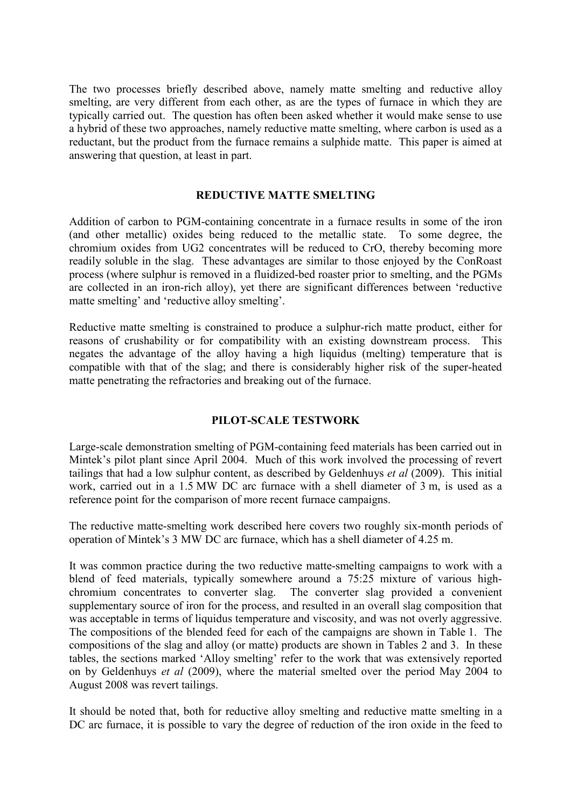The two processes briefly described above, namely matte smelting and reductive alloy smelting, are very different from each other, as are the types of furnace in which they are typically carried out. The question has often been asked whether it would make sense to use a hybrid of these two approaches, namely reductive matte smelting, where carbon is used as a reductant, but the product from the furnace remains a sulphide matte. This paper is aimed at answering that question, at least in part.

### **REDUCTIVE MATTE SMELTING**

Addition of carbon to PGM-containing concentrate in a furnace results in some of the iron (and other metallic) oxides being reduced to the metallic state. To some degree, the chromium oxides from UG2 concentrates will be reduced to CrO, thereby becoming more readily soluble in the slag. These advantages are similar to those enjoyed by the ConRoast process (where sulphur is removed in a fluidized-bed roaster prior to smelting, and the PGMs are collected in an iron-rich alloy), yet there are significant differences between 'reductive matte smelting' and 'reductive alloy smelting'.

Reductive matte smelting is constrained to produce a sulphur-rich matte product, either for reasons of crushability or for compatibility with an existing downstream process. This negates the advantage of the alloy having a high liquidus (melting) temperature that is compatible with that of the slag; and there is considerably higher risk of the super-heated matte penetrating the refractories and breaking out of the furnace.

# **PILOT-SCALE TESTWORK**

Large-scale demonstration smelting of PGM-containing feed materials has been carried out in Mintek's pilot plant since April 2004. Much of this work involved the processing of revert tailings that had a low sulphur content, as described by Geldenhuys *et al* (2009). This initial work, carried out in a 1.5 MW DC arc furnace with a shell diameter of 3 m, is used as a reference point for the comparison of more recent furnace campaigns.

The reductive matte-smelting work described here covers two roughly six-month periods of operation of Mintek's 3 MW DC arc furnace, which has a shell diameter of 4.25 m.

It was common practice during the two reductive matte-smelting campaigns to work with a blend of feed materials, typically somewhere around a 75:25 mixture of various highchromium concentrates to converter slag. The converter slag provided a convenient supplementary source of iron for the process, and resulted in an overall slag composition that was acceptable in terms of liquidus temperature and viscosity, and was not overly aggressive. The compositions of the blended feed for each of the campaigns are shown in Table 1. The compositions of the slag and alloy (or matte) products are shown in Tables 2 and 3. In these tables, the sections marked 'Alloy smelting' refer to the work that was extensively reported on by Geldenhuys *et al* (2009), where the material smelted over the period May 2004 to August 2008 was revert tailings.

It should be noted that, both for reductive alloy smelting and reductive matte smelting in a DC arc furnace, it is possible to vary the degree of reduction of the iron oxide in the feed to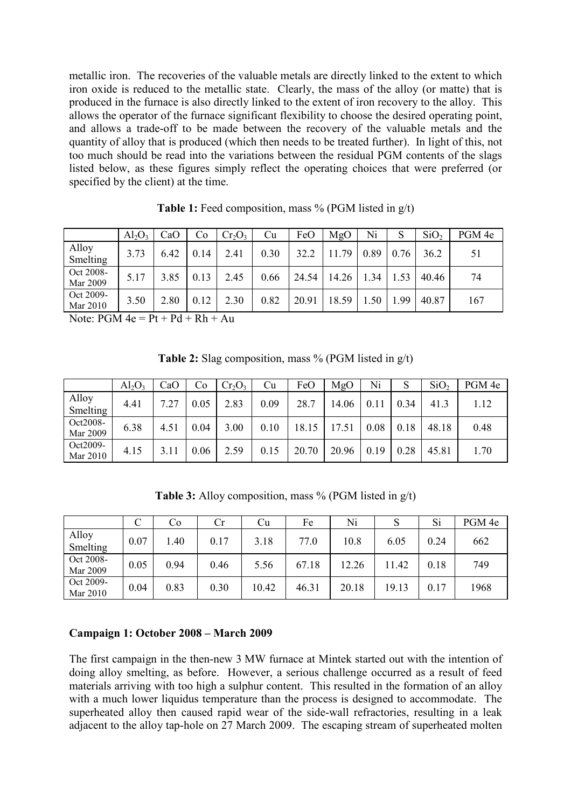metallic iron. The recoveries of the valuable metals are directly linked to the extent to which iron oxide is reduced to the metallic state. Clearly, the mass of the alloy (or matte) that is produced in the furnace is also directly linked to the extent of iron recovery to the alloy. This allows the operator of the furnace significant flexibility to choose the desired operating point, and allows a trade-off to be made between the recovery of the valuable metals and the quantity of alloy that is produced (which then needs to be treated further). In light of this, not too much should be read into the variations between the residual PGM contents of the slags listed below, as these figures simply reflect the operating choices that were preferred (or specified by the client) at the time.

|                       | $Al_2O_3$ | CaO  | Co   | $Cr_2O_3$ | Cu   | FeO   | MgO   | Ni   | S    | SiO <sub>2</sub> | PGM 4e |
|-----------------------|-----------|------|------|-----------|------|-------|-------|------|------|------------------|--------|
| Alloy<br>Smelting     | 3.73      | 6.42 | 0.14 | 2.41      | 0.30 | 32.2  | 1179  | 0.89 | 0.76 | 36.2             | 51     |
| Oct 2008-<br>Mar 2009 | 5.17      | 3.85 | 0.13 | 2.45      | 0.66 | 24.54 | 14.26 | 1.34 | 1.53 | 40.46            | 74     |
| Oct 2009-<br>Mar 2010 | 3.50      | 2.80 | 0.12 | 2.30      | 0.82 | 20.91 | 18.59 | .50  | .99  | 40.87            | 167    |

Note:  $PGM$  4e =  $Pt + Pd + Rh + Au$ 

**Table 2:** Slag composition, mass % (PGM listed in g/t)

|                      | $Al_2O_3$ | CaO  | Co   | $Cr_2O_3$ | Cu   | FeO   | MgO   | Ni   |      | SiO <sub>2</sub> | PGM 4e |
|----------------------|-----------|------|------|-----------|------|-------|-------|------|------|------------------|--------|
| Alloy<br>Smelting    | 4.41      | 7.27 | 0.05 | 2.83      | 0.09 | 28.7  | 14.06 | 0.11 | 0.34 | 41.3             | 1.12   |
| Oct2008-<br>Mar 2009 | 6.38      | 4.51 | 0.04 | 3.00      | 0.10 | 18.15 | 17.51 | 0.08 | 0.18 | 48.18            | 0.48   |
| Oct2009-<br>Mar 2010 | 4.15      |      | 0.06 | 2.59      | 0.15 | 20.70 | 20.96 | 0.19 | 0.28 | 45.81            | 1.70   |

**Table 3:** Alloy composition, mass % (PGM listed in g/t)

|                       | С    | Cо   | <b>Cr</b> | Сu    | Fe    | Ni    |       | Si   | PGM 4e |
|-----------------------|------|------|-----------|-------|-------|-------|-------|------|--------|
| Alloy<br>Smelting     | 0.07 | .40  | 0.17      | 3.18  | 77.0  | 10.8  | 6.05  | 0.24 | 662    |
| Oct 2008-<br>Mar 2009 | 0.05 | 0.94 | 0.46      | 5.56  | 67.18 | 12.26 | 11.42 | 0.18 | 749    |
| Oct 2009-<br>Mar 2010 | 0.04 | 0.83 | 0.30      | 10.42 | 46.31 | 20.18 | 19.13 | 0.17 | 1968   |

### **Campaign 1: October 2008 – March 2009**

The first campaign in the then-new 3 MW furnace at Mintek started out with the intention of doing alloy smelting, as before. However, a serious challenge occurred as a result of feed materials arriving with too high a sulphur content. This resulted in the formation of an alloy with a much lower liquidus temperature than the process is designed to accommodate. The superheated alloy then caused rapid wear of the side-wall refractories, resulting in a leak adjacent to the alloy tap-hole on 27 March 2009. The escaping stream of superheated molten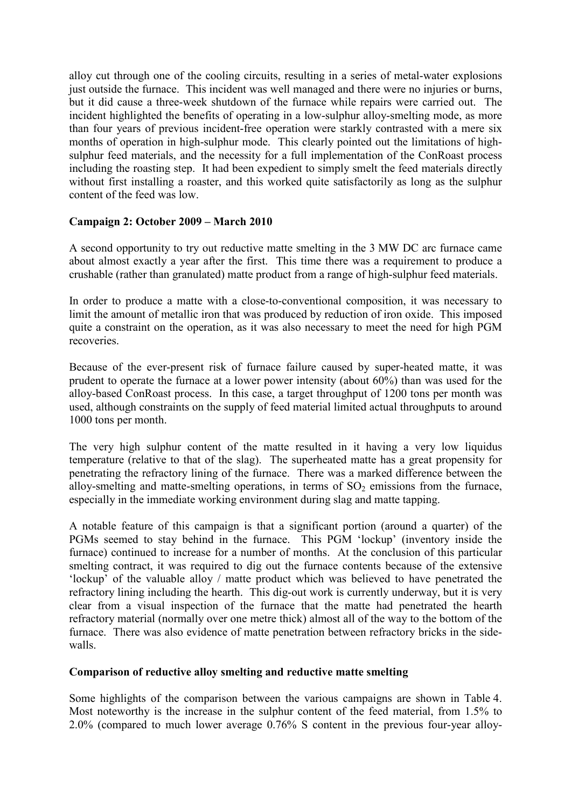alloy cut through one of the cooling circuits, resulting in a series of metal-water explosions just outside the furnace. This incident was well managed and there were no injuries or burns, but it did cause a three-week shutdown of the furnace while repairs were carried out. The incident highlighted the benefits of operating in a low-sulphur alloy-smelting mode, as more than four years of previous incident-free operation were starkly contrasted with a mere six months of operation in high-sulphur mode. This clearly pointed out the limitations of highsulphur feed materials, and the necessity for a full implementation of the ConRoast process including the roasting step. It had been expedient to simply smelt the feed materials directly without first installing a roaster, and this worked quite satisfactorily as long as the sulphur content of the feed was low.

# **Campaign 2: October 2009 – March 2010**

A second opportunity to try out reductive matte smelting in the 3 MW DC arc furnace came about almost exactly a year after the first. This time there was a requirement to produce a crushable (rather than granulated) matte product from a range of high-sulphur feed materials.

In order to produce a matte with a close-to-conventional composition, it was necessary to limit the amount of metallic iron that was produced by reduction of iron oxide. This imposed quite a constraint on the operation, as it was also necessary to meet the need for high PGM recoveries.

Because of the ever-present risk of furnace failure caused by super-heated matte, it was prudent to operate the furnace at a lower power intensity (about 60%) than was used for the alloy-based ConRoast process. In this case, a target throughput of 1200 tons per month was used, although constraints on the supply of feed material limited actual throughputs to around 1000 tons per month.

The very high sulphur content of the matte resulted in it having a very low liquidus temperature (relative to that of the slag). The superheated matte has a great propensity for penetrating the refractory lining of the furnace. There was a marked difference between the alloy-smelting and matte-smelting operations, in terms of  $SO<sub>2</sub>$  emissions from the furnace, especially in the immediate working environment during slag and matte tapping.

A notable feature of this campaign is that a significant portion (around a quarter) of the PGMs seemed to stay behind in the furnace. This PGM 'lockup' (inventory inside the furnace) continued to increase for a number of months. At the conclusion of this particular smelting contract, it was required to dig out the furnace contents because of the extensive 'lockup' of the valuable alloy / matte product which was believed to have penetrated the refractory lining including the hearth. This dig-out work is currently underway, but it is very clear from a visual inspection of the furnace that the matte had penetrated the hearth refractory material (normally over one metre thick) almost all of the way to the bottom of the furnace. There was also evidence of matte penetration between refractory bricks in the sidewalls.

### **Comparison of reductive alloy smelting and reductive matte smelting**

Some highlights of the comparison between the various campaigns are shown in Table 4. Most noteworthy is the increase in the sulphur content of the feed material, from 1.5% to 2.0% (compared to much lower average 0.76% S content in the previous four-year alloy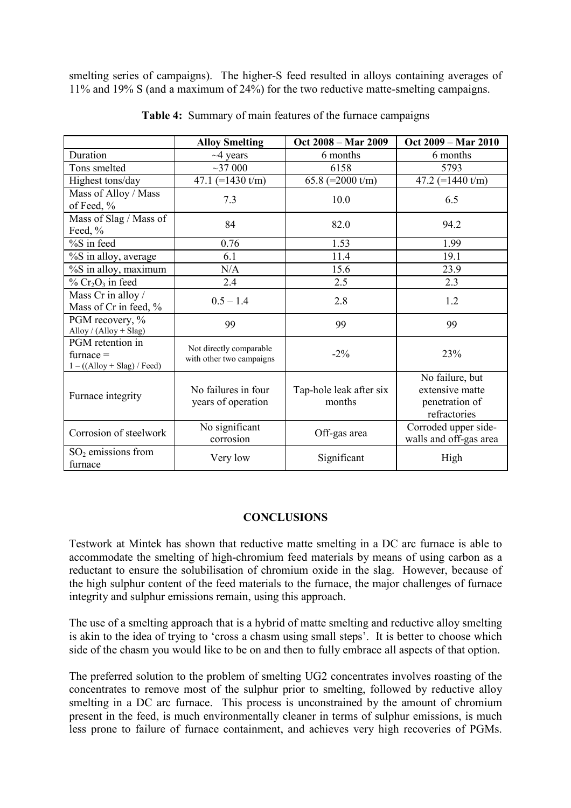smelting series of campaigns). The higher-S feed resulted in alloys containing averages of 11% and 19% S (and a maximum of 24%) for the two reductive matte-smelting campaigns.

|                                                                                       | <b>Alloy Smelting</b>                               | Oct 2008 – Mar 2009               | Oct 2009 – Mar 2010                                                  |  |  |
|---------------------------------------------------------------------------------------|-----------------------------------------------------|-----------------------------------|----------------------------------------------------------------------|--|--|
| Duration                                                                              | $~\sim$ 4 years                                     | 6 months                          | 6 months                                                             |  |  |
| Tons smelted                                                                          | ~1000                                               | 6158                              | 5793                                                                 |  |  |
| Highest tons/day                                                                      | 47.1 $(=1430 t/m)$                                  | 65.8 (= $2000 t/m$ )              | 47.2 ( $=1440$ t/m)                                                  |  |  |
| Mass of Alloy / Mass<br>of Feed, %                                                    | 7.3                                                 | 10.0                              | 6.5                                                                  |  |  |
| Mass of Slag / Mass of<br>Feed, %                                                     | 84                                                  | 82.0                              | 94.2                                                                 |  |  |
| %S in feed                                                                            | 0.76                                                | 1.53                              | 1.99                                                                 |  |  |
| %S in alloy, average                                                                  | 6.1                                                 | 11.4                              | 19.1                                                                 |  |  |
| %S in alloy, maximum                                                                  | N/A                                                 | 15.6                              | 23.9                                                                 |  |  |
| $\%$ Cr <sub>2</sub> O <sub>3</sub> in feed                                           | 2.4                                                 | 2.5                               | 2.3                                                                  |  |  |
| Mass Cr in alloy /<br>Mass of Cr in feed, %                                           | $0.5 - 1.4$                                         | 2.8                               | 1.2                                                                  |  |  |
| PGM recovery, %<br>Alloy / (Alloy + Slag)                                             | 99                                                  | 99                                | 99                                                                   |  |  |
| PGM retention in<br>$furnace =$<br>$1 - ((\text{Alloy} + \text{Slag}) / \text{Feed})$ | Not directly comparable<br>with other two campaigns | $-2\%$                            | 23%                                                                  |  |  |
| Furnace integrity                                                                     | No failures in four<br>years of operation           | Tap-hole leak after six<br>months | No failure, but<br>extensive matte<br>penetration of<br>refractories |  |  |
| Corrosion of steelwork                                                                | No significant<br>corrosion                         | Off-gas area                      | Corroded upper side-<br>walls and off-gas area                       |  |  |
| $SO2$ emissions from<br>furnace                                                       | Very low                                            | Significant                       | High                                                                 |  |  |

**Table 4:** Summary of main features of the furnace campaigns

### **CONCLUSIONS**

Testwork at Mintek has shown that reductive matte smelting in a DC arc furnace is able to accommodate the smelting of high-chromium feed materials by means of using carbon as a reductant to ensure the solubilisation of chromium oxide in the slag. However, because of the high sulphur content of the feed materials to the furnace, the major challenges of furnace integrity and sulphur emissions remain, using this approach.

The use of a smelting approach that is a hybrid of matte smelting and reductive alloy smelting is akin to the idea of trying to 'cross a chasm using small steps'. It is better to choose which side of the chasm you would like to be on and then to fully embrace all aspects of that option.

The preferred solution to the problem of smelting UG2 concentrates involves roasting of the concentrates to remove most of the sulphur prior to smelting, followed by reductive alloy smelting in a DC arc furnace. This process is unconstrained by the amount of chromium present in the feed, is much environmentally cleaner in terms of sulphur emissions, is much less prone to failure of furnace containment, and achieves very high recoveries of PGMs.